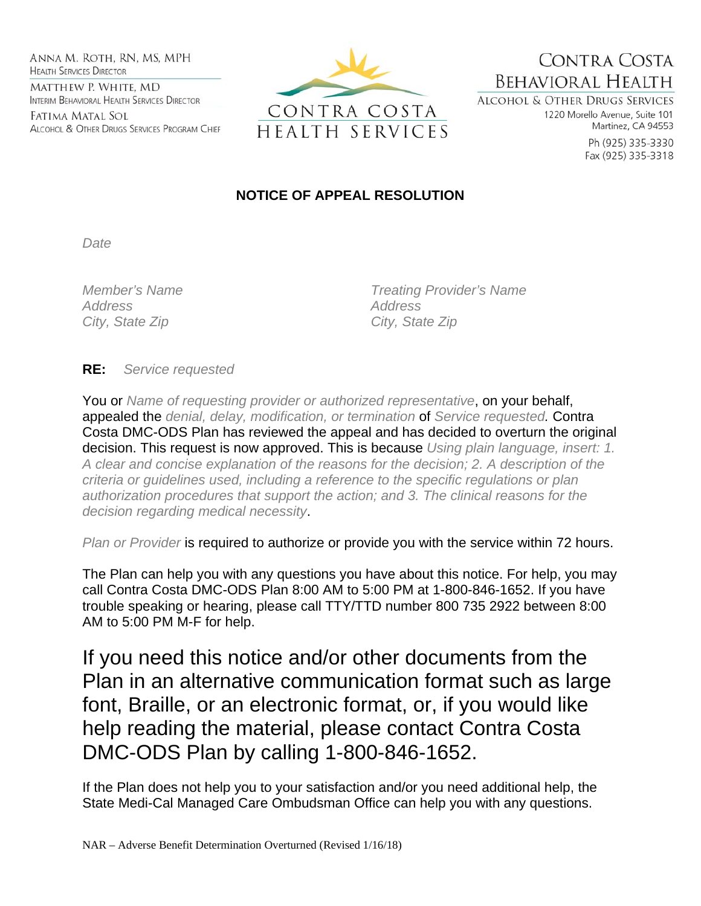ANNA M. ROTH, RN, MS, MPH **HEALTH SERVICES DIRECTOR** MATTHEW P. WHITE, MD INTERIM BEHAVIORAL HEALTH SERVICES DIRECTOR

Fatima Matal Sol ALCOHOL & OTHER DRUGS SERVICES PROGRAM CHIEF



CONTRA COSTA **BEHAVIORAL HEALTH** 

**ALCOHOL & OTHER DRUGS SERVICES** 1220 Morello Avenue, Suite 101 Martinez, CA 94553

> Ph (925) 335-3330 Fax (925) 335-3318

## **NOTICE OF APPEAL RESOLUTION**

*Date* 

*Address Address*  City, State Zip **City**, State Zip

*Member's Name Treating Provider's Name* 

**RE:** *Service requested*

You or *Name of requesting provider or authorized representative*, on your behalf, appealed the *denial, delay, modification, or termination* of *Service requested.* Contra Costa DMC-ODS Plan has reviewed the appeal and has decided to overturn the original decision. This request is now approved. This is because *Using plain language, insert: 1. A clear and concise explanation of the reasons for the decision; 2. A description of the criteria or guidelines used, including a reference to the specific regulations or plan authorization procedures that support the action; and 3. The clinical reasons for the decision regarding medical necessity*.

*Plan or Provider* is required to authorize or provide you with the service within 72 hours.

The Plan can help you with any questions you have about this notice. For help, you may call Contra Costa DMC-ODS Plan 8:00 AM to 5:00 PM at 1-800-846-1652. If you have trouble speaking or hearing, please call TTY/TTD number 800 735 2922 between 8:00 AM to 5:00 PM M-F for help.

If you need this notice and/or other documents from the Plan in an alternative communication format such as large font, Braille, or an electronic format, or, if you would like help reading the material, please contact Contra Costa DMC-ODS Plan by calling 1-800-846-1652.

If the Plan does not help you to your satisfaction and/or you need additional help, the State Medi-Cal Managed Care Ombudsman Office can help you with any questions.